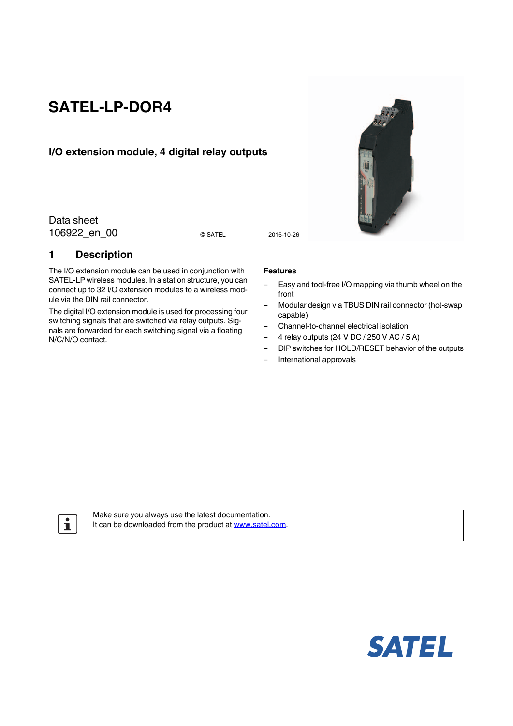# **SATEL-LP-DOR4**

## **I/O extension module, 4 digital relay outputs**

Data sheet 106922 en 00 esatel 2015-10-26

© SATEL

### <span id="page-0-0"></span>**1 Description**

The I/O extension module can be used in conjunction with SATEL-LP wireless modules. In a station structure, you can connect up to 32 I/O extension modules to a wireless module via the DIN rail connector.

The digital I/O extension module is used for processing four switching signals that are switched via relay outputs. Signals are forwarded for each switching signal via a floating N/C/N/O contact.

#### **Features**

- Easy and tool-free I/O mapping via thumb wheel on the front
- Modular design via TBUS DIN rail connector (hot-swap capable)
- Channel-to-channel electrical isolation
- 4 relay outputs (24 V DC / 250 V AC / 5 A)
- DIP switches for HOLD/RESET behavior of the outputs
- International approvals

 $\mathbf{i}$ 

[Make sure you always use the latest documentation.](http://www.satel.com) [It can be downloaded from the product at](http://www.satel.com) www.satel.com.



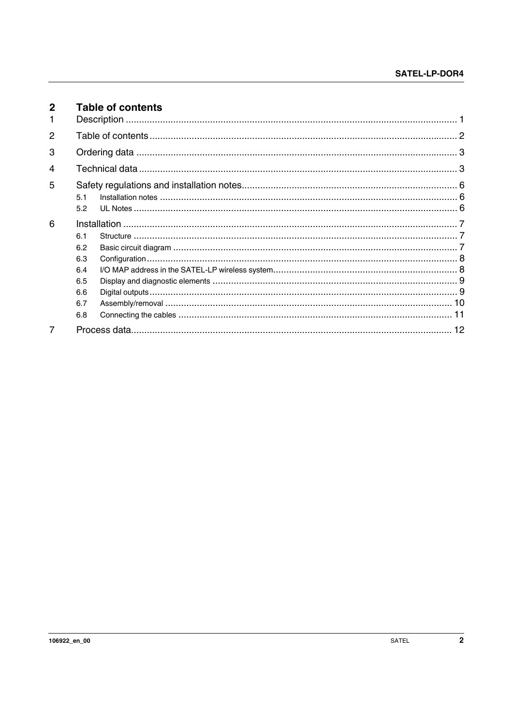<span id="page-1-0"></span>

| $\mathbf{2}$ |     | <b>Table of contents</b> |  |
|--------------|-----|--------------------------|--|
| 1.           |     |                          |  |
| 2            |     |                          |  |
| 3            |     |                          |  |
| 4            |     |                          |  |
| 5            |     |                          |  |
|              | 5.1 |                          |  |
|              | 5.2 |                          |  |
| 6            |     |                          |  |
|              | 6.1 |                          |  |
|              | 6.2 |                          |  |
|              | 6.3 |                          |  |
|              | 6.4 |                          |  |
|              | 6.5 |                          |  |
|              | 6.6 |                          |  |
|              | 6.7 |                          |  |
|              | 6.8 |                          |  |
| 7            |     |                          |  |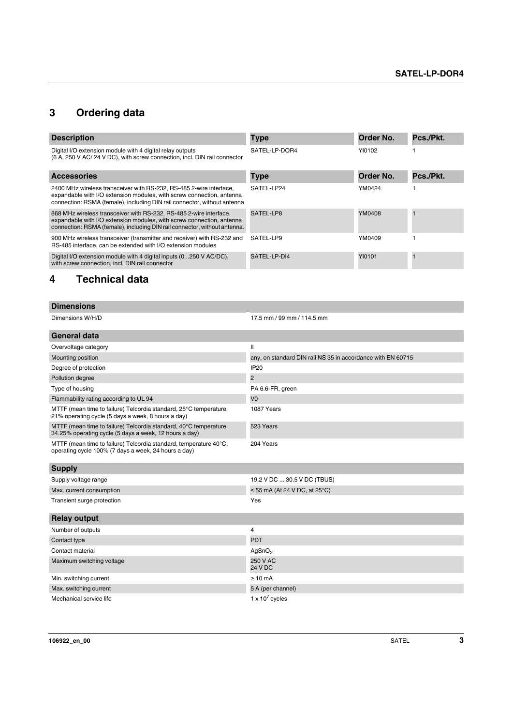## <span id="page-2-0"></span>**3 Ordering data**

| <b>Description</b>                                                                                                                                                                                                       | <b>Type</b>   | Order No. | Pcs./Pkt. |
|--------------------------------------------------------------------------------------------------------------------------------------------------------------------------------------------------------------------------|---------------|-----------|-----------|
| Digital I/O extension module with 4 digital relay outputs<br>(6 A, 250 V AC/ 24 V DC), with screw connection, incl. DIN rail connector                                                                                   | SATEL-LP-DOR4 | YI0102    |           |
| <b>Accessories</b>                                                                                                                                                                                                       | <b>Type</b>   | Order No. | Pcs./Pkt. |
| 2400 MHz wireless transceiver with RS-232, RS-485 2-wire interface,<br>expandable with I/O extension modules, with screw connection, antenna<br>connection: RSMA (female), including DIN rail connector, without antenna | SATEL-LP24    | YM0424    |           |
| 868 MHz wireless transceiver with RS-232, RS-485 2-wire interface,<br>expandable with I/O extension modules, with screw connection, antenna<br>connection: RSMA (female), including DIN rail connector, without antenna. | SATEL-LP8     | YM0408    |           |
| 900 MHz wireless transceiver (transmitter and receiver) with RS-232 and<br>RS-485 interface, can be extended with I/O extension modules                                                                                  | SATEL-LP9     | YM0409    |           |
| Digital I/O extension module with 4 digital inputs (0250 V AC/DC).<br>with screw connection, incl. DIN rail connector                                                                                                    | SATFI-I P-DI4 | YI0101    |           |

## <span id="page-2-1"></span>**4 Technical data**

| <b>Dimensions</b>                                                                                                           |                                                             |
|-----------------------------------------------------------------------------------------------------------------------------|-------------------------------------------------------------|
| Dimensions W/H/D                                                                                                            | 17.5 mm / 99 mm / 114.5 mm                                  |
| <b>General data</b>                                                                                                         |                                                             |
| Overvoltage category                                                                                                        | $\mathbf{I}$                                                |
| Mounting position                                                                                                           | any, on standard DIN rail NS 35 in accordance with EN 60715 |
| Degree of protection                                                                                                        | IP <sub>20</sub>                                            |
| Pollution degree                                                                                                            | 2                                                           |
| Type of housing                                                                                                             | PA 6.6-FR, green                                            |
| Flammability rating according to UL 94                                                                                      | V <sub>0</sub>                                              |
| MTTF (mean time to failure) Telcordia standard, 25°C temperature,<br>21% operating cycle (5 days a week, 8 hours a day)     | 1087 Years                                                  |
| MTTF (mean time to failure) Telcordia standard, 40°C temperature,<br>34.25% operating cycle (5 days a week, 12 hours a day) | 523 Years                                                   |
| MTTF (mean time to failure) Telcordia standard, temperature 40°C,<br>operating cycle 100% (7 days a week, 24 hours a day)   | 204 Years                                                   |
| <b>Supply</b>                                                                                                               |                                                             |
| Supply voltage range                                                                                                        | 19.2 V DC  30.5 V DC (TBUS)                                 |
| Max. current consumption                                                                                                    | $\leq$ 55 mA (At 24 V DC, at 25°C)                          |
| Transient surge protection                                                                                                  | Yes                                                         |
| <b>Relay output</b>                                                                                                         |                                                             |
| Number of outputs                                                                                                           | 4                                                           |
| Contact type                                                                                                                | <b>PDT</b>                                                  |
| Contact material                                                                                                            | AgSnO <sub>2</sub>                                          |
| Maximum switching voltage                                                                                                   | 250 V AC<br><b>24 V DC</b>                                  |
| Min. switching current                                                                                                      | $\geq 10$ mA                                                |
| Max. switching current                                                                                                      | 5 A (per channel)                                           |
| Mechanical service life                                                                                                     | 1 x $10^7$ cycles                                           |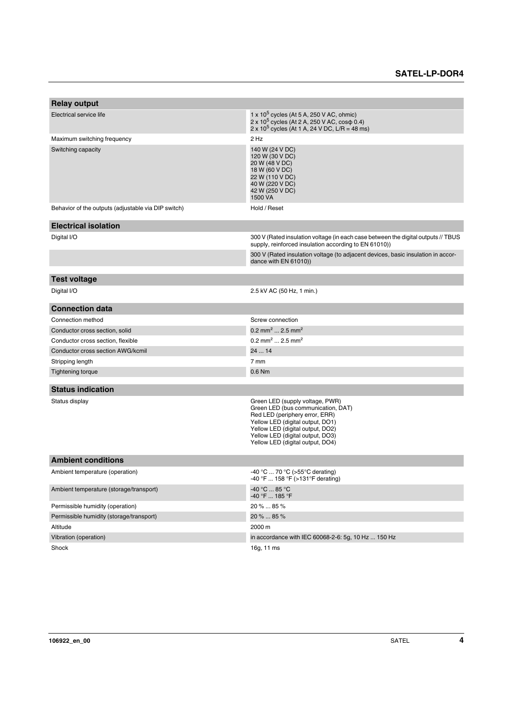| <b>Relay output</b>                                 |                                                                                                                                                                                                                                                         |
|-----------------------------------------------------|---------------------------------------------------------------------------------------------------------------------------------------------------------------------------------------------------------------------------------------------------------|
|                                                     |                                                                                                                                                                                                                                                         |
| Electrical service life                             | $1 \times 10^5$ cycles (At 5 A, 250 V AC, ohmic)<br>2 x 10 <sup>5</sup> cycles (At 2 A, 250 V AC, cos φ 0.4)<br>$2 \times 10^5$ cycles (At 1 A, 24 V DC, L/R = 48 ms)                                                                                   |
| Maximum switching frequency                         | 2 Hz                                                                                                                                                                                                                                                    |
| Switching capacity                                  | 140 W (24 V DC)<br>120 W (30 V DC)<br>20 W (48 V DC)<br>18 W (60 V DC)<br>22 W (110 V DC)<br>40 W (220 V DC)<br>42 W (250 V DC)<br>1500 VA                                                                                                              |
| Behavior of the outputs (adjustable via DIP switch) | Hold / Reset                                                                                                                                                                                                                                            |
| <b>Electrical isolation</b>                         |                                                                                                                                                                                                                                                         |
| Digital I/O                                         | 300 V (Rated insulation voltage (in each case between the digital outputs // TBUS<br>supply, reinforced insulation according to EN 61010))                                                                                                              |
|                                                     | 300 V (Rated insulation voltage (to adjacent devices, basic insulation in accor-<br>dance with EN 61010))                                                                                                                                               |
| <b>Test voltage</b>                                 |                                                                                                                                                                                                                                                         |
| Digital I/O                                         | 2.5 kV AC (50 Hz, 1 min.)                                                                                                                                                                                                                               |
|                                                     |                                                                                                                                                                                                                                                         |
| <b>Connection data</b>                              |                                                                                                                                                                                                                                                         |
| Connection method                                   | Screw connection                                                                                                                                                                                                                                        |
| Conductor cross section, solid                      | 0.2 mm <sup>2</sup> 2.5 mm <sup>2</sup>                                                                                                                                                                                                                 |
| Conductor cross section, flexible                   | $0.2 \text{ mm}^2$ 2.5 mm <sup>2</sup>                                                                                                                                                                                                                  |
| Conductor cross section AWG/kcmil                   | 2414                                                                                                                                                                                                                                                    |
| Stripping length                                    | 7 mm                                                                                                                                                                                                                                                    |
| <b>Tightening torque</b>                            | 0.6 Nm                                                                                                                                                                                                                                                  |
| <b>Status indication</b>                            |                                                                                                                                                                                                                                                         |
|                                                     |                                                                                                                                                                                                                                                         |
| Status display                                      | Green LED (supply voltage, PWR)<br>Green LED (bus communication, DAT)<br>Red LED (periphery error, ERR)<br>Yellow LED (digital output, DO1)<br>Yellow LED (digital output, DO2)<br>Yellow LED (digital output, DO3)<br>Yellow LED (digital output, DO4) |
| <b>Ambient conditions</b>                           |                                                                                                                                                                                                                                                         |
| Ambient temperature (operation)                     | -40 °C  70 °C (>55 °C derating)<br>-40 °F  158 °F (>131 °F derating)                                                                                                                                                                                    |
| Ambient temperature (storage/transport)             | $-40 °C  85 °C$<br>-40 °F  185 °F                                                                                                                                                                                                                       |
| Permissible humidity (operation)                    | 20 %  85 %                                                                                                                                                                                                                                              |
| Permissible humidity (storage/transport)            | 20 %  85 %                                                                                                                                                                                                                                              |
| Altitude                                            | 2000 m                                                                                                                                                                                                                                                  |
| Vibration (operation)                               | in accordance with IEC 60068-2-6: 5g, 10 Hz  150 Hz                                                                                                                                                                                                     |
| Shock                                               | 16g, 11 ms                                                                                                                                                                                                                                              |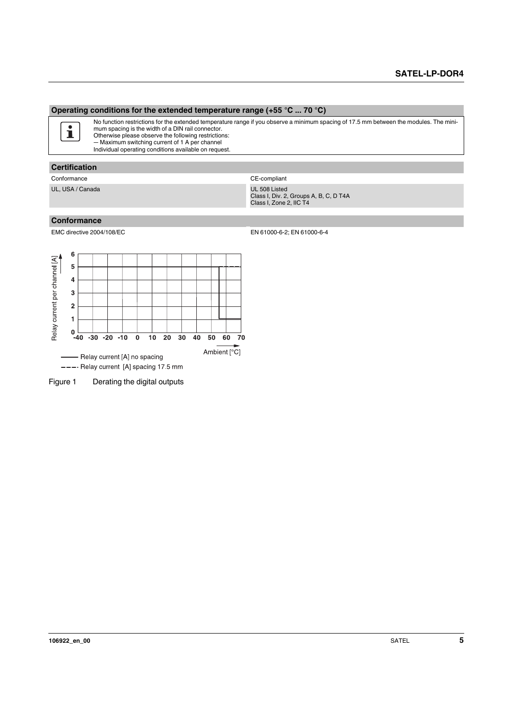#### **Operating conditions for the extended temperature range (+55 °C ... 70 °C)**

No function restrictions for the extended temperature range if you observe a minimum spacing of 17.5 mm between the modules. The mini- $\mathbf{i}$ mum spacing is the width of a DIN rail connector. Otherwise please observe the following restrictions:

― Maximum switching current of 1 A per channel Individual operating conditions available on request.

## **Certification**

Conformance Conformance CE-compliant

UL, USA / Canada UL 508 Listed

Class I, Div. 2, Groups A, B, C, D T4A Class I, Zone 2, IIC T4

#### **Conformance**

EMC directive 2004/108/EC EN 61000-6-2; EN 61000-6-4



Figure 1 Derating the digital outputs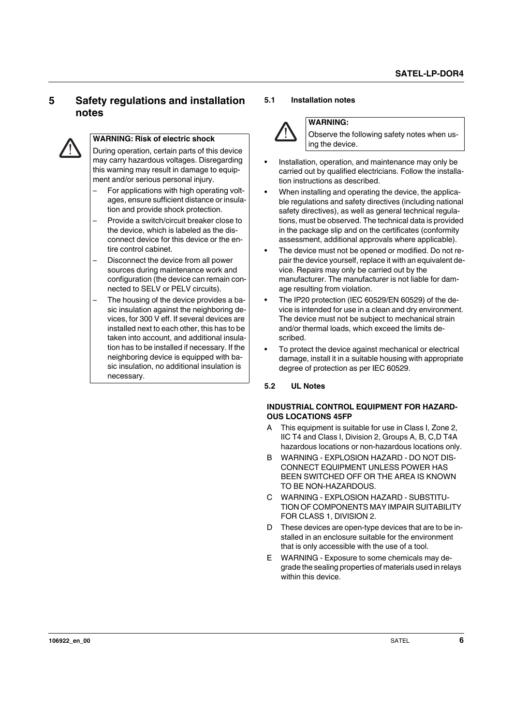## <span id="page-5-0"></span>**5 Safety regulations and installation notes**



#### **WARNING: Risk of electric shock**

During operation, certain parts of this device may carry hazardous voltages. Disregarding this warning may result in damage to equipment and/or serious personal injury.

- For applications with high operating voltages, ensure sufficient distance or insulation and provide shock protection.
- Provide a switch/circuit breaker close to the device, which is labeled as the disconnect device for this device or the entire control cabinet.
- Disconnect the device from all power sources during maintenance work and configuration (the device can remain connected to SELV or PELV circuits).
- The housing of the device provides a basic insulation against the neighboring devices, for 300 V eff. If several devices are installed next to each other, this has to be taken into account, and additional insulation has to be installed if necessary. If the neighboring device is equipped with basic insulation, no additional insulation is necessary.

#### <span id="page-5-1"></span>**5.1 Installation notes**



#### **WARNING:**

Observe the following safety notes when using the device.

- **•** Installation, operation, and maintenance may only be carried out by qualified electricians. Follow the installation instructions as described.
- **•** When installing and operating the device, the applicable regulations and safety directives (including national safety directives), as well as general technical regulations, must be observed. The technical data is provided in the package slip and on the certificates (conformity assessment, additional approvals where applicable).
- **•** The device must not be opened or modified. Do not repair the device yourself, replace it with an equivalent device. Repairs may only be carried out by the manufacturer. The manufacturer is not liable for damage resulting from violation.
- **•** The IP20 protection (IEC 60529/EN 60529) of the device is intended for use in a clean and dry environment. The device must not be subject to mechanical strain and/or thermal loads, which exceed the limits described.
- **•** To protect the device against mechanical or electrical damage, install it in a suitable housing with appropriate degree of protection as per IEC 60529.

#### <span id="page-5-2"></span>**5.2 UL Notes**

#### **INDUSTRIAL CONTROL EQUIPMENT FOR HAZARD-OUS LOCATIONS 45FP**

- A This equipment is suitable for use in Class I, Zone 2, IIC T4 and Class I, Division 2, Groups A, B, C,D T4A hazardous locations or non-hazardous locations only.
- B WARNING EXPLOSION HAZARD DO NOT DIS-CONNECT EQUIPMENT UNLESS POWER HAS BEEN SWITCHED OFF OR THE AREA IS KNOWN TO BE NON-HAZARDOUS.
- C WARNING EXPLOSION HAZARD SUBSTITU-TION OF COMPONENTS MAY IMPAIR SUITABILITY FOR CLASS 1, DIVISION 2.
- D These devices are open-type devices that are to be installed in an enclosure suitable for the environment that is only accessible with the use of a tool.
- E WARNING Exposure to some chemicals may degrade the sealing properties of materials used in relays within this device.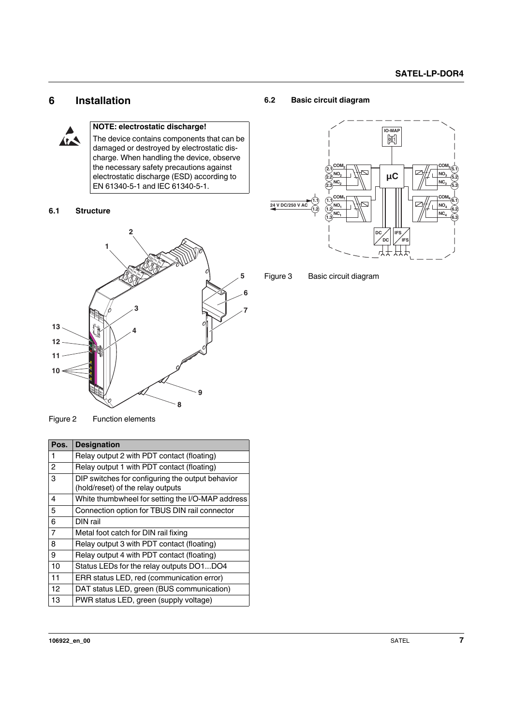## <span id="page-6-0"></span>**6 Installation**



### **NOTE: electrostatic discharge!**

The device contains components that can be damaged or destroyed by electrostatic discharge. When handling the device, observe the necessary safety precautions against electrostatic discharge (ESD) according to EN 61340-5-1 and IEC 61340-5-1.

#### <span id="page-6-1"></span>**6.1 Structure**



Figure 2 Function elements

| Pos.           | <b>Designation</b>                                                                    |
|----------------|---------------------------------------------------------------------------------------|
| 1              | Relay output 2 with PDT contact (floating)                                            |
| $\overline{2}$ | Relay output 1 with PDT contact (floating)                                            |
| 3              | DIP switches for configuring the output behavior<br>(hold/reset) of the relay outputs |
| 4              | White thumbwheel for setting the I/O-MAP address                                      |
| 5              | Connection option for TBUS DIN rail connector                                         |
| 6              | DIN rail                                                                              |
| $\overline{7}$ | Metal foot catch for DIN rail fixing                                                  |
| 8              | Relay output 3 with PDT contact (floating)                                            |
| 9              | Relay output 4 with PDT contact (floating)                                            |
| 10             | Status LEDs for the relay outputs DO1DO4                                              |
| 11             | ERR status LED, red (communication error)                                             |
| 12             | DAT status LED, green (BUS communication)                                             |
| 13             | PWR status LED, green (supply voltage)                                                |

#### <span id="page-6-2"></span>**6.2 Basic circuit diagram**



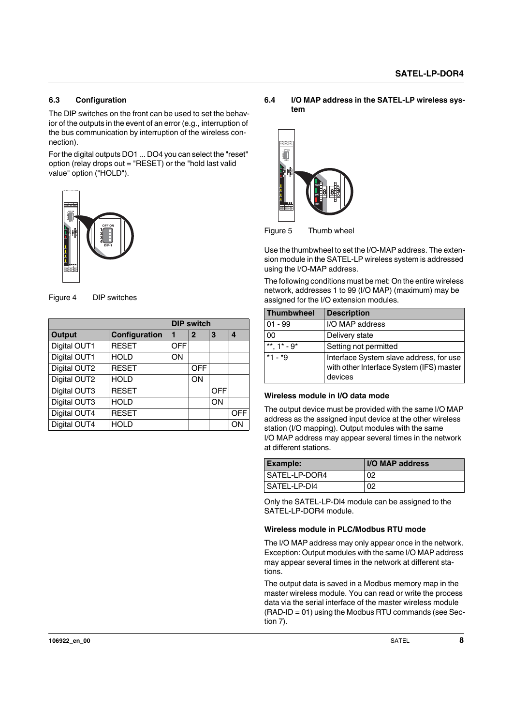#### <span id="page-7-0"></span>**6.3 Configuration**

The DIP switches on the front can be used to set the behavior of the outputs in the event of an error (e.g., interruption of the bus communication by interruption of the wireless connection).

For the digital outputs DO1 ... DO4 you can select the "reset" option (relay drops out = "RESET) or the "hold last valid value" option ("HOLD").



Figure 4 DIP switches

| OFF ON<br>$\frac{1}{2}$ $\frac{2}{3}$<br>Þ₿<br>$\overline{DP-1}$<br>L<br>L<br>L<br>L<br>$\frac{1}{\cos \theta} \frac{1}{100} \frac{1}{100} \frac{1}{100}$<br>Figure 4<br><b>DIP</b> switches |               |            |                   |            |     |  |  |  |  |
|----------------------------------------------------------------------------------------------------------------------------------------------------------------------------------------------|---------------|------------|-------------------|------------|-----|--|--|--|--|
|                                                                                                                                                                                              |               |            | <b>DIP switch</b> |            |     |  |  |  |  |
| <b>Output</b>                                                                                                                                                                                | Configuration | 1          | $\overline{2}$    | 3          | 4   |  |  |  |  |
| Digital OUT1                                                                                                                                                                                 | <b>RESET</b>  | <b>OFF</b> |                   |            |     |  |  |  |  |
| Digital OUT1                                                                                                                                                                                 | <b>HOLD</b>   | ON         |                   |            |     |  |  |  |  |
| Digital OUT2                                                                                                                                                                                 | <b>RESET</b>  |            | <b>OFF</b>        |            |     |  |  |  |  |
| Digital OUT2                                                                                                                                                                                 | <b>HOLD</b>   |            | ON                |            |     |  |  |  |  |
| Digital OUT3                                                                                                                                                                                 | <b>RESET</b>  |            |                   | <b>OFF</b> |     |  |  |  |  |
| Digital OUT3                                                                                                                                                                                 | <b>HOLD</b>   |            |                   | ON         |     |  |  |  |  |
| Digital OUT4                                                                                                                                                                                 | <b>RESET</b>  |            |                   |            | OFF |  |  |  |  |
| Digital OUT4                                                                                                                                                                                 | <b>HOLD</b>   |            |                   |            | ON  |  |  |  |  |

<span id="page-7-1"></span>**6.4 I/O MAP address in the SATEL-LP wireless system**



Figure 5 Thumb wheel

| Figure 5                         | Thumb wheel                                                                                                                                                                                                                                                                                                             |                                                                                                                                                                                                                                          |  |  |  |  |  |  |  |
|----------------------------------|-------------------------------------------------------------------------------------------------------------------------------------------------------------------------------------------------------------------------------------------------------------------------------------------------------------------------|------------------------------------------------------------------------------------------------------------------------------------------------------------------------------------------------------------------------------------------|--|--|--|--|--|--|--|
|                                  | Use the thumbwheel to set the I/O-MAP address. The exten-<br>sion module in the SATEL-LP wireless system is addressed<br>using the I/O-MAP address.<br>The following conditions must be met: On the entire wireless<br>network, addresses 1 to 99 (I/O MAP) (maximum) may be<br>assigned for the I/O extension modules. |                                                                                                                                                                                                                                          |  |  |  |  |  |  |  |
| <b>Thumbwheel</b>                | <b>Description</b>                                                                                                                                                                                                                                                                                                      |                                                                                                                                                                                                                                          |  |  |  |  |  |  |  |
|                                  |                                                                                                                                                                                                                                                                                                                         |                                                                                                                                                                                                                                          |  |  |  |  |  |  |  |
| $01 - 99$                        | I/O MAP address                                                                                                                                                                                                                                                                                                         |                                                                                                                                                                                                                                          |  |  |  |  |  |  |  |
| 0 <sub>0</sub>                   | Delivery state                                                                                                                                                                                                                                                                                                          |                                                                                                                                                                                                                                          |  |  |  |  |  |  |  |
| **. $1^*$ - $9^*$                | Setting not permitted                                                                                                                                                                                                                                                                                                   |                                                                                                                                                                                                                                          |  |  |  |  |  |  |  |
| $*1 - *9$                        | devices                                                                                                                                                                                                                                                                                                                 | Interface System slave address, for use<br>with other Interface System (IFS) master                                                                                                                                                      |  |  |  |  |  |  |  |
| Wireless module in I/O data mode |                                                                                                                                                                                                                                                                                                                         |                                                                                                                                                                                                                                          |  |  |  |  |  |  |  |
| at different stations.           |                                                                                                                                                                                                                                                                                                                         | The output device must be provided with the same I/O MAP<br>address as the assigned input device at the other wireless<br>station (I/O mapping). Output modules with the same<br>I/O MAP address may appear several times in the network |  |  |  |  |  |  |  |
| <b>Example:</b>                  |                                                                                                                                                                                                                                                                                                                         | I/O MAP address                                                                                                                                                                                                                          |  |  |  |  |  |  |  |
| SATEL-LP-DOR4                    |                                                                                                                                                                                                                                                                                                                         | 02                                                                                                                                                                                                                                       |  |  |  |  |  |  |  |

#### **Wireless module in I/O data mode**

| <b>Example:</b> | I/O MAP address |
|-----------------|-----------------|
| SATEL-LP-DOR4   | 02              |
| I SATEL-LP-DI4  | 02              |

Only the SATEL-LP-DI4 module can be assigned to the SATEL-LP-DOR4 module.

#### **Wireless module in PLC/Modbus RTU mode**

The I/O MAP address may only appear once in the network. Exception: Output modules with the same I/O MAP address may appear several times in the network at different stations.

The output data is saved in a Modbus memory map in the master wireless module. You can read or write the process data via the serial interface of the master wireless module  $(RAD-ID = 01)$  using the Modbus RTU commands (see Section 7).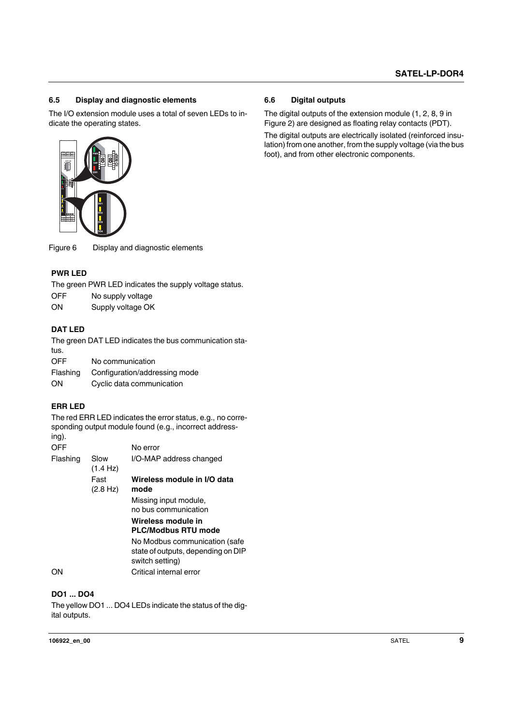#### <span id="page-8-0"></span>**6.5 Display and diagnostic elements**

The I/O extension module uses a total of seven LEDs to indicate the operating states.



#### **PWR LED**

- OFF No supply voltage
- ON Supply voltage OK

#### **DAT LED**

| Flashing | Configuration/addressing mode |
|----------|-------------------------------|
| OΝ       | Cyclic data communication     |

#### **ERR LED**

| 嗶                                  |                                        |                                                                                                                                                                                                                                    |
|------------------------------------|----------------------------------------|------------------------------------------------------------------------------------------------------------------------------------------------------------------------------------------------------------------------------------|
| Figure 6                           |                                        | Display and diagnostic elements                                                                                                                                                                                                    |
| <b>PWR LED</b><br><b>OFF</b><br>OΝ | No supply voltage<br>Supply voltage OK | The green PWR LED indicates the supply voltage status.                                                                                                                                                                             |
| <b>DAT LED</b><br>tus.             |                                        | The green DAT LED indicates the bus communication sta-                                                                                                                                                                             |
| OFF<br>Flashing<br>ON              | No communication                       | Configuration/addressing mode<br>Cyclic data communication                                                                                                                                                                         |
| <b>ERR LED</b><br>ing).            |                                        | The red ERR LED indicates the error status, e.g., no corre-<br>sponding output module found (e.g., incorrect address-                                                                                                              |
| <b>OFF</b><br>Flashing             | Slow<br>(1.4 Hz)                       | No error<br>I/O-MAP address changed                                                                                                                                                                                                |
|                                    | Fast<br>(2.8 Hz)                       | Wireless module in I/O data<br>mode<br>Missing input module,<br>no bus communication<br>Wireless module in<br><b>PLC/Modbus RTU mode</b><br>No Modbus communication (safe<br>state of outputs, depending on DIP<br>switch setting) |
| ΟN                                 |                                        | Critical internal error                                                                                                                                                                                                            |
| <b>DO1  DO4</b><br>ital outputs.   |                                        | The yellow DO1  DO4 LEDs indicate the status of the dig-                                                                                                                                                                           |

#### **DO1 ... DO4**

<span id="page-8-1"></span>The digital outputs of the extension module (1, 2, 8, 9 in Figure 2) are designed as floating relay contacts (PDT).

The digital outputs are electrically isolated (reinforced insulation) from one another, from the supply voltage (via the bus foot), and from other electronic components.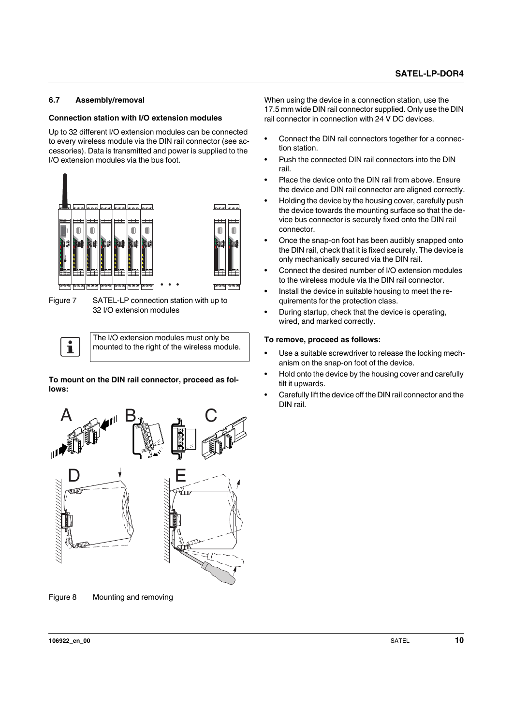#### <span id="page-9-0"></span>**6.7 Assembly/removal**

#### **Connection station with I/O extension modules**

Up to 32 different I/O extension modules can be connected to every wireless module via the DIN rail connector (see accessories). Data is transmitted and power is supplied to the I/O extension modules via the bus foot.



Figure 7 SATEL-LP connection station with up to 32 I/O extension modules

The I/O extension modules must only be  $\mathbf{i}$ mounted to the right of the wireless module.

**To mount on the DIN rail connector, proceed as follows:**



When using the device in a connection station, use the 17.5 mm wide DIN rail connector supplied. Only use the DIN rail connector in connection with 24 V DC devices.

- **•** Connect the DIN rail connectors together for a connection station.
- **•** Push the connected DIN rail connectors into the DIN rail.
- **•** Place the device onto the DIN rail from above. Ensure the device and DIN rail connector are aligned correctly.
- **•** Holding the device by the housing cover, carefully push the device towards the mounting surface so that the device bus connector is securely fixed onto the DIN rail connector.
- **•** Once the snap-on foot has been audibly snapped onto the DIN rail, check that it is fixed securely. The device is only mechanically secured via the DIN rail.
- **•** Connect the desired number of I/O extension modules to the wireless module via the DIN rail connector.
- **•** Install the device in suitable housing to meet the requirements for the protection class.
- **•** During startup, check that the device is operating, wired, and marked correctly.

#### **To remove, proceed as follows:**

- **•** Use a suitable screwdriver to release the locking mechanism on the snap-on foot of the device.
- **•** Hold onto the device by the housing cover and carefully tilt it upwards.
- **•** Carefully lift the device off the DIN rail connector and the DIN rail.

Figure 8 Mounting and removing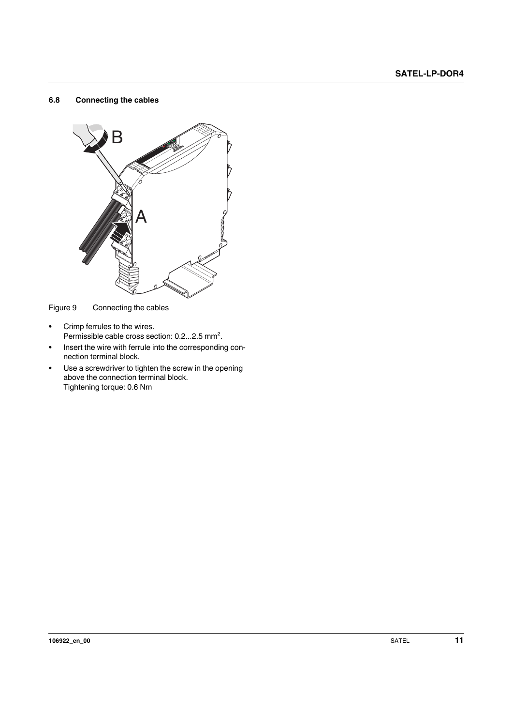#### <span id="page-10-0"></span>**6.8 Connecting the cables**



Figure 9 Connecting the cables

- **•** Crimp ferrules to the wires. Permissible cable cross section: 0.2...2.5 mm².
- **•** Insert the wire with ferrule into the corresponding connection terminal block.
- **•** Use a screwdriver to tighten the screw in the opening above the connection terminal block. Tightening torque: 0.6 Nm